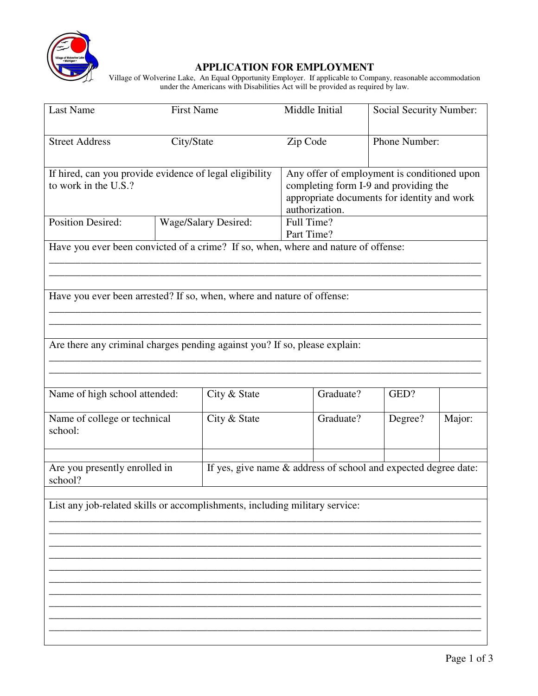

## **APPLICATION FOR EMPLOYMENT**

 Village of Wolverine Lake, An Equal Opportunity Employer. If applicable to Company, reasonable accommodation under the Americans with Disabilities Act will be provided as required by law.

| <b>Last Name</b>                                                                   | <b>First Name</b>    |                                                                 | Middle Initial           |                                                                                                                                                       | Social Security Number: |        |  |
|------------------------------------------------------------------------------------|----------------------|-----------------------------------------------------------------|--------------------------|-------------------------------------------------------------------------------------------------------------------------------------------------------|-------------------------|--------|--|
| <b>Street Address</b>                                                              | City/State           |                                                                 | Zip Code                 | Phone Number:                                                                                                                                         |                         |        |  |
| If hired, can you provide evidence of legal eligibility<br>to work in the U.S.?    |                      |                                                                 |                          | Any offer of employment is conditioned upon<br>completing form I-9 and providing the<br>appropriate documents for identity and work<br>authorization. |                         |        |  |
| <b>Position Desired:</b>                                                           | Wage/Salary Desired: |                                                                 | Full Time?<br>Part Time? |                                                                                                                                                       |                         |        |  |
| Have you ever been convicted of a crime? If so, when, where and nature of offense: |                      |                                                                 |                          |                                                                                                                                                       |                         |        |  |
| Have you ever been arrested? If so, when, where and nature of offense:             |                      |                                                                 |                          |                                                                                                                                                       |                         |        |  |
| Are there any criminal charges pending against you? If so, please explain:         |                      |                                                                 |                          |                                                                                                                                                       |                         |        |  |
| Name of high school attended:                                                      |                      | City & State                                                    |                          | Graduate?                                                                                                                                             | GED?                    |        |  |
| Name of college or technical<br>school:                                            |                      | City & State                                                    |                          | Graduate?                                                                                                                                             | Degree?                 | Major: |  |
| Are you presently enrolled in<br>school?                                           |                      | If yes, give name & address of school and expected degree date: |                          |                                                                                                                                                       |                         |        |  |
| List any job-related skills or accomplishments, including military service:        |                      |                                                                 |                          |                                                                                                                                                       |                         |        |  |
|                                                                                    |                      |                                                                 |                          |                                                                                                                                                       |                         |        |  |
|                                                                                    |                      |                                                                 |                          |                                                                                                                                                       |                         |        |  |
|                                                                                    |                      |                                                                 |                          |                                                                                                                                                       |                         |        |  |
|                                                                                    |                      |                                                                 |                          |                                                                                                                                                       |                         |        |  |
|                                                                                    |                      |                                                                 |                          |                                                                                                                                                       |                         |        |  |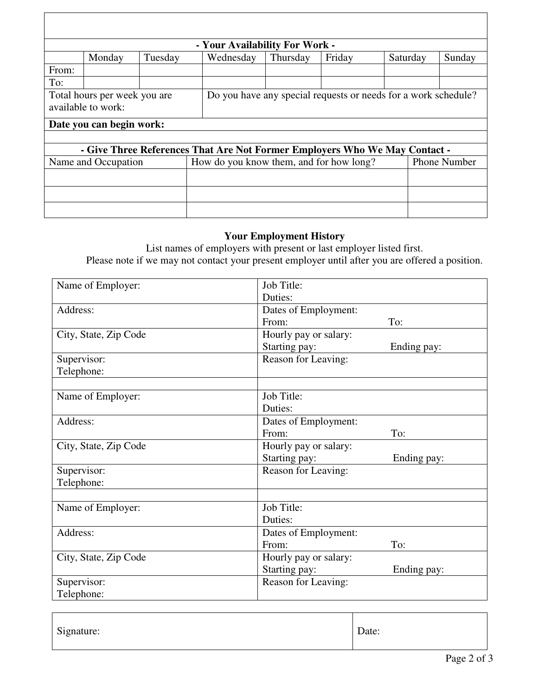| - Your Availability For Work -                                             |        |         |                                                                |          |        |                     |        |  |
|----------------------------------------------------------------------------|--------|---------|----------------------------------------------------------------|----------|--------|---------------------|--------|--|
|                                                                            | Monday | Tuesday | Wednesday                                                      | Thursday | Friday | Saturday            | Sunday |  |
| From:                                                                      |        |         |                                                                |          |        |                     |        |  |
| To:                                                                        |        |         |                                                                |          |        |                     |        |  |
| Total hours per week you are.                                              |        |         | Do you have any special requests or needs for a work schedule? |          |        |                     |        |  |
| available to work:                                                         |        |         |                                                                |          |        |                     |        |  |
| Date you can begin work:                                                   |        |         |                                                                |          |        |                     |        |  |
|                                                                            |        |         |                                                                |          |        |                     |        |  |
| - Give Three References That Are Not Former Employers Who We May Contact - |        |         |                                                                |          |        |                     |        |  |
| Name and Occupation                                                        |        |         | How do you know them, and for how long?                        |          |        | <b>Phone Number</b> |        |  |
|                                                                            |        |         |                                                                |          |        |                     |        |  |
|                                                                            |        |         |                                                                |          |        |                     |        |  |
|                                                                            |        |         |                                                                |          |        |                     |        |  |

## **Your Employment History**

List names of employers with present or last employer listed first. Please note if we may not contact your present employer until after you are offered a position.

| Name of Employer:     | Job Title:            |             |
|-----------------------|-----------------------|-------------|
|                       | Duties:               |             |
| Address:              | Dates of Employment:  |             |
|                       | From:                 | To:         |
| City, State, Zip Code | Hourly pay or salary: |             |
|                       | Starting pay:         | Ending pay: |
| Supervisor:           | Reason for Leaving:   |             |
| Telephone:            |                       |             |
|                       |                       |             |
| Name of Employer:     | Job Title:            |             |
|                       | Duties:               |             |
| Address:              | Dates of Employment:  |             |
|                       | From:                 | To:         |
| City, State, Zip Code | Hourly pay or salary: |             |
|                       | Starting pay:         | Ending pay: |
| Supervisor:           | Reason for Leaving:   |             |
| Telephone:            |                       |             |
|                       |                       |             |
| Name of Employer:     | Job Title:            |             |
|                       | Duties:               |             |
| Address:              | Dates of Employment:  |             |
|                       | From:                 | To:         |
| City, State, Zip Code | Hourly pay or salary: |             |
|                       | Starting pay:         | Ending pay: |
| Supervisor:           | Reason for Leaving:   |             |
| Telephone:            |                       |             |

| Signature: | Date: |
|------------|-------|
|------------|-------|